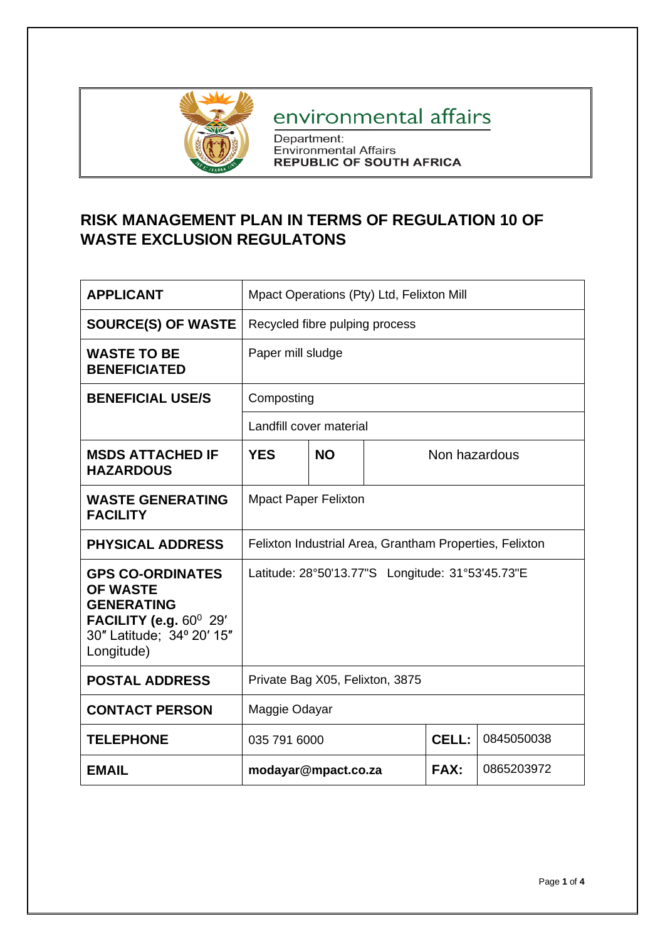

## environmental affairs

Department:<br>Environmental Affairs<br>REPUBLIC OF SOUTH AFRICA

## **RISK MANAGEMENT PLAN IN TERMS OF REGULATION 10 OF WASTE EXCLUSION REGULATONS**

| <b>APPLICANT</b>                                                                                                                        | Mpact Operations (Pty) Ltd, Felixton Mill               |           |               |             |            |
|-----------------------------------------------------------------------------------------------------------------------------------------|---------------------------------------------------------|-----------|---------------|-------------|------------|
| <b>SOURCE(S) OF WASTE</b>                                                                                                               | Recycled fibre pulping process                          |           |               |             |            |
| <b>WASTE TO BE</b><br><b>BENEFICIATED</b>                                                                                               | Paper mill sludge                                       |           |               |             |            |
| <b>BENEFICIAL USE/S</b>                                                                                                                 | Composting                                              |           |               |             |            |
|                                                                                                                                         | Landfill cover material                                 |           |               |             |            |
| <b>MSDS ATTACHED IF</b><br><b>HAZARDOUS</b>                                                                                             | <b>YES</b>                                              | <b>NO</b> | Non hazardous |             |            |
| <b>WASTE GENERATING</b><br><b>FACILITY</b>                                                                                              | <b>Mpact Paper Felixton</b>                             |           |               |             |            |
| <b>PHYSICAL ADDRESS</b>                                                                                                                 | Felixton Industrial Area, Grantham Properties, Felixton |           |               |             |            |
| <b>GPS CO-ORDINATES</b><br><b>OF WASTE</b><br><b>GENERATING</b><br>FACILITY (e.g. $60^0$ 29'<br>30" Latitude; 34° 20' 15"<br>Longitude) |                                                         |           |               |             |            |
| <b>POSTAL ADDRESS</b>                                                                                                                   | Private Bag X05, Felixton, 3875                         |           |               |             |            |
| <b>CONTACT PERSON</b>                                                                                                                   | Maggie Odayar                                           |           |               |             |            |
| <b>TELEPHONE</b>                                                                                                                        | 035 791 6000                                            |           |               | CELL:       | 0845050038 |
| <b>EMAIL</b>                                                                                                                            | modayar@mpact.co.za                                     |           |               | <b>FAX:</b> | 0865203972 |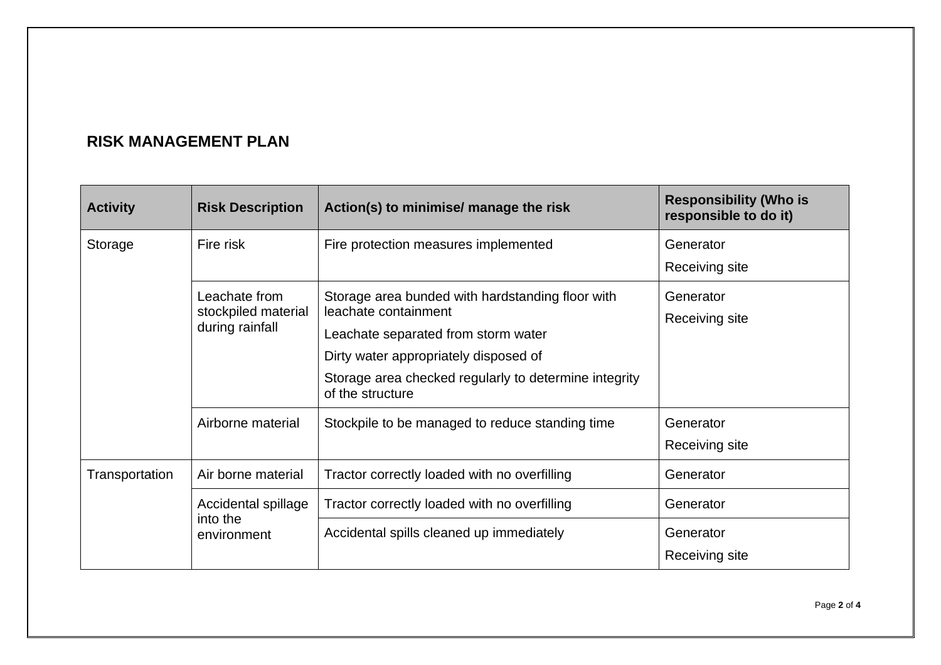## **RISK MANAGEMENT PLAN**

| <b>Activity</b>                        | <b>Risk Description</b>                                              | Action(s) to minimise/ manage the risk                                    | <b>Responsibility (Who is</b><br>responsible to do it) |
|----------------------------------------|----------------------------------------------------------------------|---------------------------------------------------------------------------|--------------------------------------------------------|
| Storage                                | Fire risk<br>Fire protection measures implemented                    |                                                                           | Generator                                              |
|                                        |                                                                      |                                                                           | Receiving site                                         |
|                                        | Leachate from                                                        | Storage area bunded with hardstanding floor with                          | Generator                                              |
| stockpiled material<br>during rainfall |                                                                      | leachate containment                                                      | Receiving site                                         |
|                                        |                                                                      | Leachate separated from storm water                                       |                                                        |
|                                        |                                                                      | Dirty water appropriately disposed of                                     |                                                        |
|                                        |                                                                      | Storage area checked regularly to determine integrity<br>of the structure |                                                        |
|                                        | Airborne material<br>Stockpile to be managed to reduce standing time |                                                                           | Generator                                              |
|                                        |                                                                      |                                                                           | Receiving site                                         |
| Air borne material<br>Transportation   |                                                                      | Tractor correctly loaded with no overfilling                              | Generator                                              |
|                                        | Accidental spillage<br>into the                                      | Tractor correctly loaded with no overfilling                              | Generator                                              |
|                                        | environment                                                          | Accidental spills cleaned up immediately                                  | Generator                                              |
|                                        |                                                                      |                                                                           | Receiving site                                         |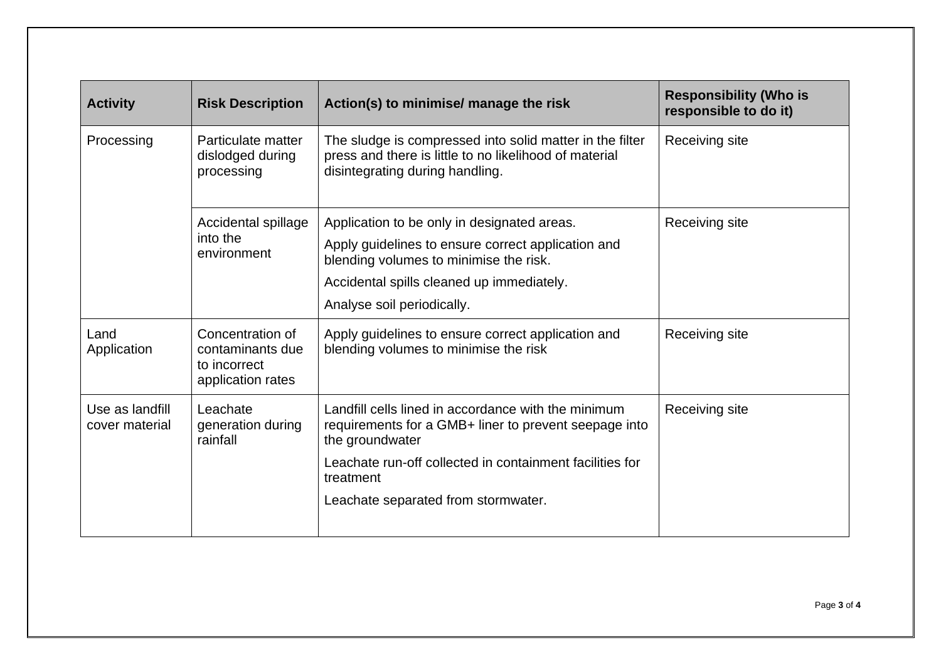| <b>Activity</b>                   | <b>Risk Description</b>                                                                                                                                                                                                                                                                      | Action(s) to minimise/ manage the risk                                                                                                                                                                                 | <b>Responsibility (Who is</b><br>responsible to do it) |
|-----------------------------------|----------------------------------------------------------------------------------------------------------------------------------------------------------------------------------------------------------------------------------------------------------------------------------------------|------------------------------------------------------------------------------------------------------------------------------------------------------------------------------------------------------------------------|--------------------------------------------------------|
| Processing                        | The sludge is compressed into solid matter in the filter<br>Particulate matter<br>press and there is little to no likelihood of material<br>dislodged during<br>disintegrating during handling.<br>processing                                                                                |                                                                                                                                                                                                                        | Receiving site                                         |
| into the<br>environment           | Accidental spillage                                                                                                                                                                                                                                                                          | Application to be only in designated areas.<br>Apply guidelines to ensure correct application and<br>blending volumes to minimise the risk.<br>Accidental spills cleaned up immediately.<br>Analyse soil periodically. | Receiving site                                         |
| Land<br>Application               | Concentration of<br>contaminants due<br>to incorrect<br>application rates                                                                                                                                                                                                                    | Apply guidelines to ensure correct application and<br>blending volumes to minimise the risk                                                                                                                            | Receiving site                                         |
| Use as landfill<br>cover material | Landfill cells lined in accordance with the minimum<br>Leachate<br>generation during<br>requirements for a GMB+ liner to prevent seepage into<br>rainfall<br>the groundwater<br>Leachate run-off collected in containment facilities for<br>treatment<br>Leachate separated from stormwater. |                                                                                                                                                                                                                        | Receiving site                                         |